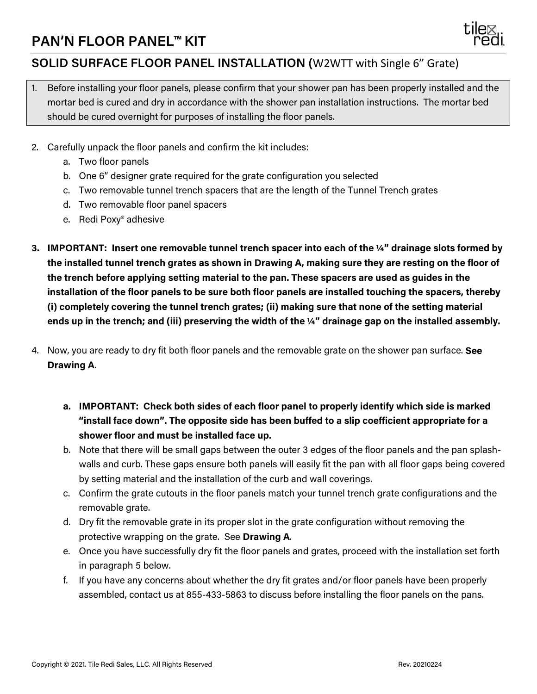## **PAN'N FLOOR PANEL™ KIT**



## **SOLID SURFACE FLOOR PANEL INSTALLATION (**W2WTT with Single 6" Grate)

- 1. Before installing your floor panels, please confirm that your shower pan has been properly installed and the mortar bed is cured and dry in accordance with the shower pan installation instructions. The mortar bed should be cured overnight for purposes of installing the floor panels.
- 2. Carefully unpack the floor panels and confirm the kit includes:
	- a. Two floor panels
	- b. One 6" designer grate required for the grate configuration you selected
	- c. Two removable tunnel trench spacers that are the length of the Tunnel Trench grates
	- d. Two removable floor panel spacers
	- e. Redi Poxy® adhesive
- **3. IMPORTANT: Insert one removable tunnel trench spacer into each of the ¼" drainage slots formed by the installed tunnel trench grates as shown in Drawing A, making sure they are resting on the floor of the trench before applying setting material to the pan. These spacers are used as guides in the installation of the floor panels to be sure both floor panels are installed touching the spacers, thereby (i) completely covering the tunnel trench grates; (ii) making sure that none of the setting material ends up in the trench; and (iii) preserving the width of the ¼" drainage gap on the installed assembly.**
- 4. Now, you are ready to dry fit both floor panels and the removable grate on the shower pan surface. **See Drawing A**.
	- **a. IMPORTANT: Check both sides of each floor panel to properly identify which side is marked "install face down". The opposite side has been buffed to a slip coefficient appropriate for a shower floor and must be installed face up.**
	- b. Note that there will be small gaps between the outer 3 edges of the floor panels and the pan splashwalls and curb. These gaps ensure both panels will easily fit the pan with all floor gaps being covered by setting material and the installation of the curb and wall coverings.
	- c. Confirm the grate cutouts in the floor panels match your tunnel trench grate configurations and the removable grate.
	- d. Dry fit the removable grate in its proper slot in the grate configuration without removing the protective wrapping on the grate. See **Drawing A**.
	- e. Once you have successfully dry fit the floor panels and grates, proceed with the installation set forth in paragraph 5 below.
	- f. If you have any concerns about whether the dry fit grates and/or floor panels have been properly assembled, contact us at 855-433-5863 to discuss before installing the floor panels on the pans.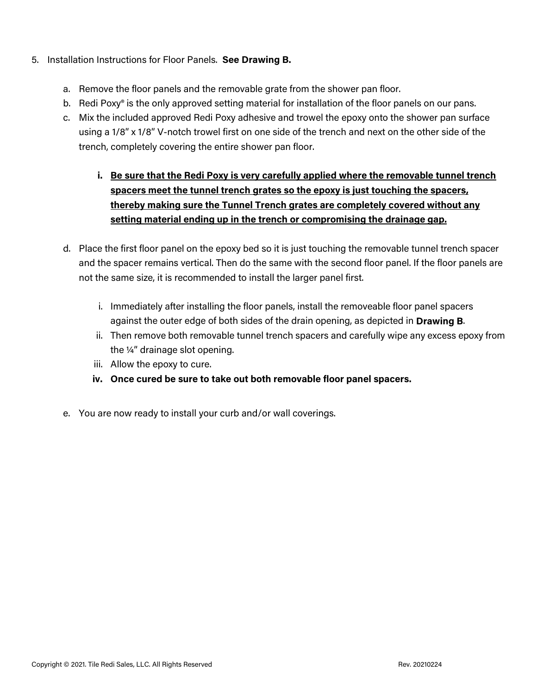- 5. Installation Instructions for Floor Panels. **See Drawing B.**
	- a. Remove the floor panels and the removable grate from the shower pan floor.
	- b. Redi Poxy® is the only approved setting material for installation of the floor panels on our pans.
	- c. Mix the included approved Redi Poxy adhesive and trowel the epoxy onto the shower pan surface using a 1/8" x 1/8" V-notch trowel first on one side of the trench and next on the other side of the trench, completely covering the entire shower pan floor.
		- **i. Be sure that the Redi Poxy is very carefully applied where the removable tunnel trench spacers meet the tunnel trench grates so the epoxy is just touching the spacers, thereby making sure the Tunnel Trench grates are completely covered without any setting material ending up in the trench or compromising the drainage gap.**
	- d. Place the first floor panel on the epoxy bed so it is just touching the removable tunnel trench spacer and the spacer remains vertical. Then do the same with the second floor panel. If the floor panels are not the same size, it is recommended to install the larger panel first.
		- i. Immediately after installing the floor panels, install the removeable floor panel spacers against the outer edge of both sides of the drain opening, as depicted in **Drawing B**.
		- ii. Then remove both removable tunnel trench spacers and carefully wipe any excess epoxy from the ¼" drainage slot opening.
		- iii. Allow the epoxy to cure.
		- **iv. Once cured be sure to take out both removable floor panel spacers.**
	- e. You are now ready to install your curb and/or wall coverings.